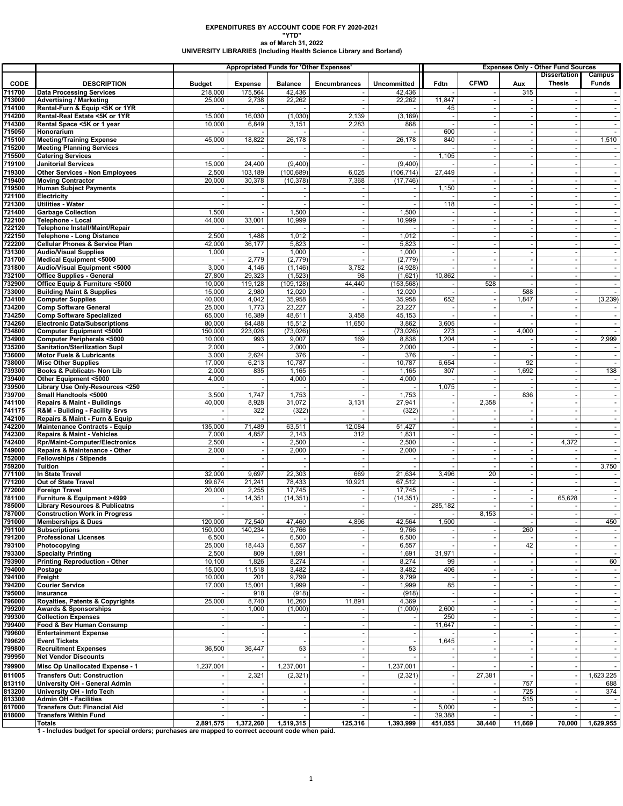# **EXPENDITURES BY ACCOUNT CODE FOR FY 2020-2021 "YTD"**

## **as of March 31, 2022 UNIVERSITY LIBRARIES (Including Health Science Library and Borland)**

|                  |                                                                                                 |                    |                                    |                          | <b>Appropriated Funds for 'Other Expenses'</b> |                          |         | <b>Expenses Only - Other Fund Sources</b> |                                            |                                      |                          |
|------------------|-------------------------------------------------------------------------------------------------|--------------------|------------------------------------|--------------------------|------------------------------------------------|--------------------------|---------|-------------------------------------------|--------------------------------------------|--------------------------------------|--------------------------|
| <b>CODE</b>      | <b>DESCRIPTION</b>                                                                              | <b>Budget</b>      | <b>Expense</b>                     | <b>Balance</b>           | <b>Encumbrances</b>                            | Uncommitted              | Fdtn    | <b>CFWD</b>                               | Aux                                        | <b>Dissertation</b><br><b>Thesis</b> | Campus<br>Funds          |
| 711700           | <b>Data Processing Services</b>                                                                 | 218,000            | 175,564                            | 42,436                   |                                                | 42,436                   |         |                                           | 315                                        |                                      |                          |
| 713000           | <b>Advertising / Marketing</b>                                                                  | 25,000             | 2,738                              | 22,262                   |                                                | 22,262                   | 11,847  |                                           |                                            |                                      |                          |
| 714100           | Rental-Furn & Equip <5K or 1YR                                                                  |                    |                                    |                          |                                                |                          | 45      |                                           | ÷.                                         |                                      |                          |
| 714200           | Rental-Real Estate <5K or 1YR                                                                   | 15,000             | 16,030                             | (1,030)                  | 2,139                                          | (3, 169)                 |         |                                           | $\blacksquare$                             |                                      | $\blacksquare$           |
| 714300<br>715050 | Rental Space <5K or 1 year<br>Honorarium                                                        | 10,000             | 6,849                              | 3,151                    | 2,283                                          | 868                      | 600     |                                           | $\blacksquare$<br>$\blacksquare$           |                                      |                          |
| 715100           | <b>Meeting/Training Expense</b>                                                                 | 45,000             | 18,822                             | 26,178                   |                                                | 26,178                   | 840     |                                           | $\blacksquare$                             |                                      | 1,510                    |
| 715200           | <b>Meeting Planning Services</b>                                                                |                    |                                    |                          |                                                |                          |         |                                           | $\sim$                                     |                                      |                          |
| 715500           | <b>Catering Services</b>                                                                        |                    |                                    |                          |                                                |                          | 1,105   |                                           | $\sim$                                     | $\overline{\phantom{a}}$             | $\sim$                   |
| 719100           | <b>Janitorial Services</b>                                                                      | 15,000             | 24,400                             | (9,400)                  |                                                | (9,400)                  |         |                                           | $\mathbf{r}$                               |                                      |                          |
| 719300           | <b>Other Services - Non Employees</b>                                                           | 2,500              | 103,189                            | (100, 689)               | 6,025                                          | (106, 714)               | 27,449  |                                           | $\omega$                                   |                                      |                          |
| 719400           | <b>Moving Contractor</b>                                                                        | 20,000             | 30,378                             | (10, 378)                | 7,368                                          | (17, 746)                |         |                                           | $\blacksquare$                             |                                      |                          |
| 719500           | <b>Human Subject Payments</b>                                                                   |                    | $\sim$                             | $\sim$                   | $\sim$                                         | $\blacksquare$<br>$\sim$ | 1,150   |                                           | $\sim$<br>$\sim$                           | $\overline{\phantom{a}}$             | $\overline{\phantom{a}}$ |
| 721100<br>721300 | <b>Electricity</b><br><b>Utilities - Water</b>                                                  |                    |                                    |                          |                                                |                          | 118     |                                           | $\sim$                                     |                                      |                          |
| 721400           | <b>Garbage Collection</b>                                                                       | 1,500              |                                    | 1,500                    |                                                | 1,500                    |         |                                           | $\omega$                                   |                                      |                          |
| 722100           | Telephone - Local                                                                               | 44,000             | 33,001                             | 10,999                   | $\overline{\phantom{a}}$                       | 10,999                   | $\sim$  | $\overline{\phantom{a}}$                  | $\blacksquare$                             |                                      | $\blacksquare$           |
| 722120           | Telephone Install/Maint/Repair                                                                  |                    |                                    |                          | ٠.                                             |                          |         |                                           | $\sim$                                     |                                      |                          |
| 722150           | <b>Telephone - Long Distance</b>                                                                | 2,500              | 1,488                              | 1,012                    |                                                | 1,012                    |         |                                           | $\omega$                                   |                                      |                          |
| 722200<br>731300 | <b>Cellular Phones &amp; Service Plan</b>                                                       | 42,000<br>1,000    | 36,177                             | 5,823<br>1,000           |                                                | 5,823<br>1,000           |         |                                           | $\blacksquare$<br>$\overline{\phantom{a}}$ |                                      |                          |
| 731700           | <b>Audio/Visual Supplies</b><br>Medical Equipment <5000                                         |                    | 2,779                              | (2,779)                  |                                                | (2,779)                  |         |                                           | $\blacksquare$                             |                                      |                          |
| 731800           | Audio/Visual Equipment <5000                                                                    | 3,000              | 4,146                              | (1, 146)                 | 3,782                                          | (4,928)                  |         |                                           | $\blacksquare$                             |                                      |                          |
| 732100           | <b>Office Supplies - General</b>                                                                | 27,800             | 29,323                             | (1, 523)                 | 98                                             | (1,621)                  | 10,862  |                                           | $\omega$                                   |                                      |                          |
| 732900           | Office Equip & Furniture <5000                                                                  | 10,000             | 119,128                            | (109, 128)               | 44,440                                         | (153, 568)               |         | 528                                       |                                            |                                      |                          |
| 733000           | <b>Building Maint &amp; Supplies</b>                                                            | 15,000             | 2,980                              | 12,020                   |                                                | 12,020                   |         |                                           | 588                                        |                                      |                          |
| 734100           | <b>Computer Supplies</b>                                                                        | 40,000             | 4,042<br>1,773                     | 35,958                   |                                                | 35,958<br>23,227         | 652     | $\sim$                                    | 1,847                                      | $\overline{\phantom{a}}$             | (3, 239)                 |
| 734200<br>734250 | <b>Comp Software General</b><br><b>Comp Software Specialized</b>                                | 25,000<br>65,000   | 16,389                             | 23,227<br>48,611         | 3,458                                          | 45,153                   |         |                                           | $\omega$                                   |                                      |                          |
| 734260           | <b>Electronic Data/Subscriptions</b>                                                            | 80,000             | 64,488                             | 15,512                   | 11,650                                         | 3,862                    | 3,605   |                                           | $\overline{\phantom{a}}$                   |                                      | $\overline{\phantom{a}}$ |
| 734800           | <b>Computer Equipment &lt;5000</b>                                                              | 150,000            | 223,026                            | (73, 026)                |                                                | (73, 026)                | 273     |                                           | 4,000                                      |                                      |                          |
| 734900           | <b>Computer Peripherals &lt;5000</b>                                                            | 10,000             | 993                                | 9,007                    | 169                                            | 8,838                    | 1,204   |                                           | $\sim$                                     |                                      | 2,999                    |
| 735200           | Sanitation/Sterilization Supl                                                                   | 2,000              | ÷                                  | 2,000                    |                                                | 2,000                    |         |                                           | $\blacksquare$                             |                                      | $\overline{\phantom{a}}$ |
| 736000<br>738000 | <b>Motor Fuels &amp; Lubricants</b><br><b>Misc Other Supplies</b>                               | 3,000<br>17,000    | 2,624<br>6,213                     | 376<br>10,787            | $\overline{\phantom{a}}$                       | 376<br>10,787            | 6,654   |                                           | $\sim$<br>92                               | $\overline{\phantom{a}}$             | $\sim$                   |
| 739300           | Books & Publicatn- Non Lib                                                                      | 2,000              | 835                                | 1,165                    |                                                | 1,165                    | 307     |                                           | 1,692                                      |                                      | 138                      |
| 739400           | Other Equipment <5000                                                                           | 4,000              | ÷                                  | 4,000                    | $\overline{\phantom{a}}$                       | 4,000                    |         |                                           | $\sim$                                     | $\overline{\phantom{a}}$             | $\sim$                   |
| 739500           | Library Use Only-Resources <250                                                                 |                    | ÷,                                 |                          | ٠.                                             |                          | 1,075   |                                           | $\sim$                                     |                                      |                          |
| 739700           | Small Handtools <5000                                                                           | 3,500              | 1,747                              | 1,753                    |                                                | 1,753                    |         |                                           | 836                                        | $\overline{\phantom{a}}$             |                          |
| 741100           | <b>Repairs &amp; Maint - Buildings</b>                                                          | 40,000             | 8,928                              | 31,072                   | 3,131                                          | 27,941                   |         | 2,358                                     | $\sim$                                     |                                      | $\overline{\phantom{a}}$ |
| 741175<br>742100 | R&M - Building - Facility Srvs<br>Repairs & Maint - Furn & Equip                                |                    | 322                                | (322)                    |                                                | (322)                    |         |                                           | $\sim$<br>$\blacksquare$                   |                                      |                          |
| 742200           | <b>Maintenance Contracts - Equip</b>                                                            | 135,000            | 71,489                             | 63,511                   | 12,084                                         | 51,427                   |         |                                           | $\blacksquare$                             |                                      |                          |
| 742300           | <b>Repairs &amp; Maint - Vehicles</b>                                                           | 7,000              | 4,857                              | 2,143                    | 312                                            | 1,831                    |         |                                           | $\blacksquare$                             |                                      |                          |
| 742400           | <b>Rpr/Maint-Computer/Electronics</b>                                                           | 2,500              |                                    | 2,500                    |                                                | 2,500                    |         |                                           | ٠                                          | 4,372                                |                          |
| 749000           | Repairs & Maintenance - Other                                                                   | 2,000              |                                    | 2,000                    |                                                | 2,000                    |         |                                           | $\omega$                                   |                                      |                          |
| 752000<br>759200 | <b>Fellowships / Stipends</b><br>Tuition                                                        |                    |                                    |                          |                                                |                          |         | $\sim$                                    | $\sim$<br>$\sim$                           |                                      | $\sim$<br>3,750          |
| 771100           | In State Travel                                                                                 | 32,000             | 9,697                              | 22,303                   | 669                                            | 21,634                   | 3,496   | 20                                        | $\sim$                                     |                                      |                          |
| 771200           | Out of State Travel                                                                             | 99,674             | 21,241                             | 78,433                   | 10,921                                         | 67,512                   |         |                                           | $\blacksquare$                             |                                      | $\overline{\phantom{a}}$ |
| 772000           | <b>Foreign Travel</b>                                                                           | 20,000             | 2,255                              | 17,745                   |                                                | 17,745                   |         |                                           | $\omega$                                   |                                      |                          |
| 781100           | Furniture & Equipment >4999                                                                     |                    | 14,351                             | (14, 351)                |                                                | (14, 351)                |         |                                           | $\blacksquare$                             | 65,628                               |                          |
| 785000           | <b>Library Resources &amp; Publicatns</b>                                                       |                    |                                    |                          |                                                | $\blacksquare$           | 285,182 |                                           | $\overline{\phantom{a}}$                   |                                      | $\overline{\phantom{a}}$ |
| 787000<br>791000 | <b>Construction Work in Progress</b>                                                            |                    | $\overline{\phantom{a}}$<br>72,540 |                          | $\omega$                                       | $-1$                     |         | 8,153                                     | $\sim$                                     |                                      | 450                      |
| 791100           | <b>IMEMPERSIPS &amp; DUES</b><br><b>Subscriptions</b>                                           | IZU,UUU<br>150,000 | 140,234                            | 47,460<br>9,766          | 4,896                                          | 42,564<br>9,766          | 1,500   |                                           | 260                                        |                                      |                          |
| 791200           | <b>Professional Licenses</b>                                                                    | 6,500              |                                    | 6,500                    |                                                | 6,500                    |         |                                           | $\sim$                                     |                                      |                          |
| 793100           | Photocopying                                                                                    | 25,000             | 18,443                             | 6,557                    |                                                | 6,557                    |         |                                           | 42                                         |                                      |                          |
| 793300           | <b>Specialty Printing</b>                                                                       | 2,500              | 809                                | 1,691                    |                                                | 1,691                    | 31,971  |                                           | $\omega$                                   |                                      |                          |
| 793900           | <b>Printing Reproduction - Other</b>                                                            | 10,100             | 1,826                              | 8,274                    |                                                | 8,274                    | 99      |                                           | $\blacksquare$                             |                                      | 60                       |
| 794000<br>794100 | Postage<br>Freight                                                                              | 15,000<br>10,000   | 11,518<br>201                      | 3,482<br>9,799           |                                                | 3,482<br>9,799           | 406     |                                           | $\blacksquare$<br>$\sim$                   |                                      |                          |
| 794200           | <b>Courier Service</b>                                                                          | 17,000             | 15,001                             | 1,999                    |                                                | 1,999                    | 85      |                                           | $\sim$                                     |                                      | $\overline{\phantom{a}}$ |
| 795000           | Insurance                                                                                       |                    | 918                                | (918)                    |                                                | (918)                    |         |                                           | $\sim$                                     |                                      |                          |
| 796000           | Royalties, Patents & Copyrights                                                                 | 25,000             | 8,740                              | 16,260                   | 11,891                                         | 4,369                    |         |                                           | $\overline{\phantom{a}}$                   |                                      |                          |
| 799200           | <b>Awards &amp; Sponsorships</b>                                                                |                    | 1,000                              | (1,000)                  |                                                | (1,000)                  | 2,600   |                                           | $\sim$                                     |                                      |                          |
| 799300           | <b>Collection Expenses</b>                                                                      |                    |                                    |                          |                                                |                          | 250     |                                           | $\sim$                                     |                                      |                          |
| 799400<br>799600 | Food & Bev Human Consump<br><b>Entertainment Expense</b>                                        |                    | ÷,                                 | $\overline{\phantom{a}}$ |                                                | $\sim$<br>$\overline{a}$ | 11,647  |                                           | $\sim$<br>$\sim$                           |                                      |                          |
| 799620           | <b>Event Tickets</b>                                                                            |                    |                                    |                          |                                                |                          | 1,645   |                                           | $\blacksquare$                             |                                      |                          |
| 799800           | <b>Recruitment Expenses</b>                                                                     | 36,500             | 36,447                             | 53                       |                                                | 53                       |         |                                           | $\sim$                                     |                                      |                          |
| 799950           | <b>Net Vendor Discounts</b>                                                                     |                    |                                    |                          | $\overline{\phantom{a}}$                       | $\sim$                   |         |                                           | $\sim$                                     |                                      |                          |
| 799900           | Misc Op Unallocated Expense - 1                                                                 | 1,237,001          |                                    | 1,237,001                |                                                | 1,237,001                |         |                                           |                                            |                                      | $\sim$                   |
| 811005           | <b>Transfers Out: Construction</b>                                                              |                    | 2,321                              | (2, 321)                 |                                                | (2, 321)                 |         | 27,381                                    |                                            |                                      | 1,623,225                |
| 813110           | University OH - General Admin                                                                   |                    |                                    |                          |                                                | $-1$                     |         |                                           | 757                                        |                                      | 688                      |
| 813200           | University OH - Info Tech                                                                       |                    |                                    |                          |                                                |                          |         |                                           | 725                                        |                                      | 374                      |
| 813300<br>817000 | <b>Admin OH - Facilities</b><br><b>Transfers Out: Financial Aid</b>                             |                    |                                    |                          |                                                | $-1$                     | 5,000   |                                           | 515<br>$\blacksquare$                      |                                      |                          |
| 818000           | <b>Transfers Within Fund</b>                                                                    |                    |                                    |                          |                                                |                          | 39,388  |                                           |                                            |                                      | $\overline{\phantom{a}}$ |
|                  | <b>Totals</b>                                                                                   | 2,891,575          | 1,372,260                          | 1,519,315                | 125,316                                        | 1,393,999                | 451,055 | 38,440                                    | 11,669                                     | 70,000                               | 1,629,955                |
|                  | 1 - Includes budget for special orders; purchases are mapped to correct account code when paid. |                    |                                    |                          |                                                |                          |         |                                           |                                            |                                      |                          |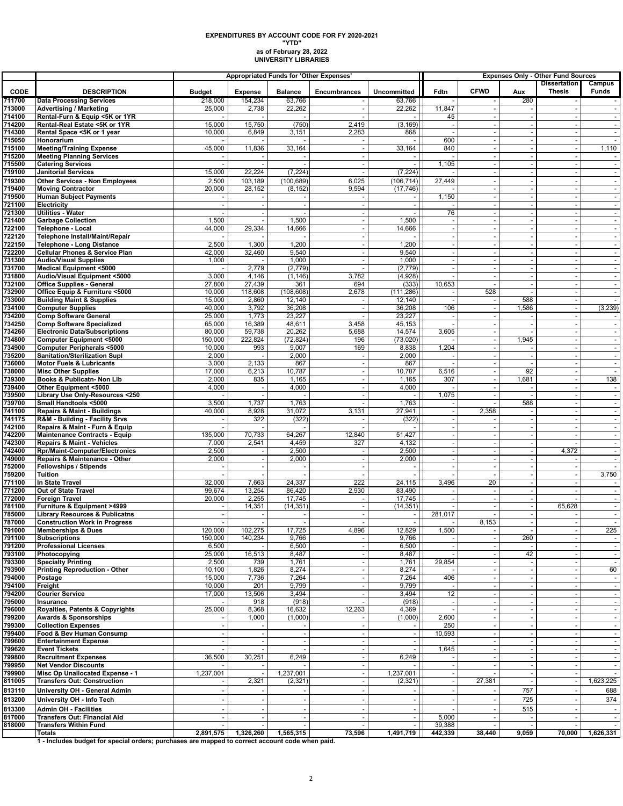#### **as of February 28, 2022 UNIVERSITY LIBRARIES EXPENDITURES BY ACCOUNT CODE FOR FY 2020-2021 "YTD"**

|                  |                                                                               |                  |                 |                  | Appropriated Funds for 'Other Expenses'              | <b>Expenses Only - Other Fund Sources</b><br><b>Dissertation</b> |                 |                          |                                    |                          |                          |
|------------------|-------------------------------------------------------------------------------|------------------|-----------------|------------------|------------------------------------------------------|------------------------------------------------------------------|-----------------|--------------------------|------------------------------------|--------------------------|--------------------------|
| <b>CODE</b>      | <b>DESCRIPTION</b>                                                            | <b>Budget</b>    | <b>Expense</b>  | <b>Balance</b>   | <b>Encumbrances</b>                                  | Uncommitted                                                      | Fdtn            | <b>CFWD</b>              | Aux                                | <b>Thesis</b>            | Campus<br><b>Funds</b>   |
| 711700           | <b>Data Processing Services</b>                                               | 218,000          | 154,234         | 63,766           |                                                      | 63,766                                                           |                 |                          | 280                                |                          |                          |
| 713000           | <b>Advertising / Marketing</b>                                                | 25,000           | 2,738           | 22,262           |                                                      | 22,262                                                           | 11,847          |                          |                                    |                          |                          |
| 714100           | Rental-Furn & Equip <5K or 1YR                                                |                  |                 |                  |                                                      |                                                                  | 45              |                          | $\blacksquare$                     |                          |                          |
| 714200<br>714300 | Rental-Real Estate <5K or 1YR<br>Rental Space <5K or 1 year                   | 15,000<br>10,000 | 15,750<br>6,849 | (750)<br>3,151   | 2,419<br>2,283                                       | (3, 169)<br>868                                                  | $\sim$          | $\overline{\phantom{a}}$ | $\sim$<br>$\sim$                   | $\overline{\phantom{a}}$ | $\overline{\phantom{a}}$ |
| 715050           | Honorarium                                                                    |                  |                 |                  |                                                      |                                                                  | 600             | $\sim$                   | $\blacksquare$                     |                          |                          |
| 715100           | <b>Meeting/Training Expense</b>                                               | 45,000           | 11,836          | 33,164           |                                                      | 33,164                                                           | 840             |                          | $\blacksquare$                     |                          | 1,110                    |
| 715200           | <b>Meeting Planning Services</b>                                              |                  |                 |                  |                                                      |                                                                  |                 |                          | $\mathbf{r}$                       |                          |                          |
| 715500<br>719100 | <b>Catering Services</b><br><b>Janitorial Services</b>                        | 15,000           | 22,224          | (7, 224)         | $\overline{\phantom{a}}$<br>$\overline{\phantom{a}}$ | $\sim$<br>(7, 224)                                               | 1,105           | $\overline{\phantom{a}}$ | $\sim$<br>$\sim$                   | $\overline{\phantom{a}}$ |                          |
| 719300           | <b>Other Services - Non Employees</b>                                         | 2,500            | 103,189         | (100.689)        | 6,025                                                | (106.714)                                                        | 27,449          |                          | $\blacksquare$                     |                          |                          |
| 719400           | <b>Moving Contractor</b>                                                      | 20,000           | 28,152          | (8, 152)         | 9,594                                                | (17, 746)                                                        |                 |                          | $\blacksquare$                     | $\overline{\phantom{a}}$ |                          |
| 719500           | <b>Human Subject Payments</b>                                                 |                  |                 |                  |                                                      | $-1$                                                             | 1,150           |                          | $\blacksquare$                     |                          |                          |
| 721100           | <b>Electricity</b>                                                            |                  |                 |                  |                                                      |                                                                  |                 |                          | $\omega$                           |                          |                          |
| 721300<br>721400 | <b>Utilities - Water</b><br><b>Garbage Collection</b>                         | 1,500            |                 | 1,500            | ÷,                                                   | 1,500                                                            | 76              |                          | $\blacksquare$<br>$\mathbf{r}$     |                          |                          |
| 722100           | Telephone - Local                                                             | 44,000           | 29,334          | 14,666           | $\sim$                                               | 14,666                                                           | $\sim$          | ÷.                       | $\sim$                             | $\overline{\phantom{a}}$ | $\sim$                   |
| 722120           | Telephone Install/Maint/Repair                                                |                  |                 |                  | $\overline{\phantom{a}}$                             |                                                                  |                 |                          | $\sim$                             |                          |                          |
| 722150           | <b>Telephone - Long Distance</b>                                              | 2,500            | 1,300           | 1,200            | ÷.                                                   | 1,200                                                            |                 |                          | $\omega$                           |                          |                          |
| 722200           | <b>Cellular Phones &amp; Service Plan</b>                                     | 42,000           | 32,460          | 9,540            | ÷,                                                   | 9,540                                                            | $\sim$          | ÷,                       | $\blacksquare$                     |                          | $\blacksquare$           |
| 731300<br>731700 | <b>Audio/Visual Supplies</b><br><b>Medical Equipment &lt;5000</b>             | 1,000            | 2,779           | 1,000<br>(2,779) |                                                      | 1,000<br>(2, 779)                                                | $\sim$          |                          | $\mathbf{r}$<br>$\sim$             |                          |                          |
| 731800           | Audio/Visual Equipment <5000                                                  | 3,000            | 4,146           | (1, 146)         | 3,782                                                | (4,928)                                                          |                 |                          | $\blacksquare$                     |                          | $\overline{\phantom{a}}$ |
| 732100           | <b>Office Supplies - General</b>                                              | 27,800           | 27,439          | 361              | 694                                                  | (333)                                                            | 10,653          |                          | $\sim$                             |                          |                          |
| 732900           | Office Equip & Furniture <5000                                                | 10,000           | 118,608         | (108, 608)       | 2,678                                                | (111, 286)                                                       |                 | 528                      | $\sim$                             |                          |                          |
| 733000           | <b>Building Maint &amp; Supplies</b>                                          | 15,000           | 2,860           | 12,140           |                                                      | 12,140                                                           |                 |                          | 588                                |                          |                          |
| 734100<br>734200 | <b>Computer Supplies</b><br><b>Comp Software General</b>                      | 40,000<br>25,000 | 3,792<br>1,773  | 36,208<br>23,227 | ۰.                                                   | 36,208<br>23,227                                                 | 106             | $\overline{\phantom{a}}$ | 1,586                              | $\overline{\phantom{a}}$ | (3, 239)                 |
| 734250           | <b>Comp Software Specialized</b>                                              | 65,000           | 16,389          | 48,611           | 3,458                                                | 45,153                                                           |                 |                          | $\blacksquare$                     |                          |                          |
| 734260           | <b>Electronic Data/Subscriptions</b>                                          | 80,000           | 59,738          | 20,262           | 5,688                                                | 14,574                                                           | 3,605           |                          | $\sim$                             |                          | $\blacksquare$           |
| 734800           | Computer Equipment <5000                                                      | 150,000          | 222,824         | (72, 824)        | 196                                                  | (73, 020)                                                        |                 |                          | 1,945                              |                          |                          |
| 734900<br>735200 | <b>Computer Peripherals &lt;5000</b><br>Sanitation/Sterilization Supl         | 10,000<br>2,000  | 993             | 9,007<br>2,000   | 169                                                  | 8,838<br>2,000                                                   | 1,204           |                          | $\sim$<br>$\blacksquare$           | $\overline{\phantom{a}}$ |                          |
| 736000           | <b>Motor Fuels &amp; Lubricants</b>                                           | 3,000            | 2,133           | 867              |                                                      | 867                                                              |                 |                          | $\overline{a}$                     |                          | $\overline{\phantom{a}}$ |
| 738000           | <b>Misc Other Supplies</b>                                                    | 17,000           | 6,213           | 10,787           | $\overline{\phantom{a}}$                             | 10,787                                                           | 6,516           |                          | 92                                 |                          |                          |
| 739300           | Books & Publicatn- Non Lib                                                    | 2,000            | 835             | 1,165            | ÷,                                                   | 1,165                                                            | 307             |                          | 1,681                              |                          | 138                      |
| 739400           | Other Equipment <5000                                                         | 4,000            | $\sim$          | 4,000            | $\overline{\phantom{a}}$                             | 4,000                                                            |                 | $\overline{\phantom{a}}$ | $\sim$                             | $\overline{\phantom{a}}$ |                          |
| 739500<br>739700 | Library Use Only-Resources <250<br>Small Handtools <5000                      | 3,500            | 1,737           | 1,763            | ٠.                                                   | 1,763                                                            | 1,075           |                          | ÷,<br>588                          |                          |                          |
| 741100           | <b>Repairs &amp; Maint - Buildings</b>                                        | 40,000           | 8,928           | 31,072           | 3,131                                                | 27,941                                                           | $\blacksquare$  | 2,358                    | $\sim$                             | $\overline{\phantom{a}}$ | $\blacksquare$           |
| 741175           | R&M - Building - Facility Srvs                                                |                  | 322             | (322)            |                                                      | (322)                                                            |                 |                          | $\blacksquare$                     |                          |                          |
| 742100           | Repairs & Maint - Furn & Equip                                                |                  |                 |                  |                                                      |                                                                  |                 |                          | $\omega$                           |                          |                          |
| 742200<br>742300 | <b>Maintenance Contracts - Equip</b><br><b>Repairs &amp; Maint - Vehicles</b> | 135,000<br>7,000 | 70,733<br>2,541 | 64,267<br>4,459  | 12,840<br>327                                        | 51,427<br>4,132                                                  |                 |                          | $\blacksquare$<br>$\omega$         |                          | $\overline{\phantom{a}}$ |
| 742400           | <b>Rpr/Maint-Computer/Electronics</b>                                         | 2,500            |                 | 2,500            |                                                      | 2,500                                                            |                 |                          | $\blacksquare$                     | 4,372                    |                          |
| 749000           | Repairs & Maintenance - Other                                                 | 2,000            |                 | 2,000            | $\overline{\phantom{a}}$                             | 2,000                                                            |                 |                          | $\mathbf{r}$                       |                          |                          |
| 752000           | Fellowships / Stipends                                                        |                  | $\sim$          |                  | ۰.                                                   | $\sim$                                                           | $\sim$          | ÷.                       | $\sim$                             | $\overline{\phantom{a}}$ | $\sim$                   |
| 759200<br>771100 | <b>Tuition</b><br>In State Travel                                             | 32,000           | 7,663           | 24,337           | 222                                                  | 24,115                                                           | 3,496           | 20                       | $\sim$<br>$\blacksquare$           |                          | 3,750                    |
| 771200           | Out of State Travel                                                           | 99,674           | 13,254          | 86,420           | 2,930                                                | 83,490                                                           |                 | ÷.                       | $\blacksquare$                     |                          | $\blacksquare$           |
| 772000           | <b>Foreign Travel</b>                                                         | 20,000           | 2,255           | 17,745           |                                                      | 17,745                                                           |                 |                          | $\mathbf{r}$                       |                          |                          |
| 781100           | Furniture & Equipment >4999                                                   |                  | 14,351          | (14, 351)        | $\overline{\phantom{a}}$                             | (14, 351)                                                        |                 |                          | $\blacksquare$                     | 65,628                   |                          |
| 785000           | <b>Library Resources &amp; Publicatns</b>                                     |                  |                 |                  |                                                      | $-1$                                                             | 281,017         |                          | $\sim$                             |                          | $\overline{\phantom{a}}$ |
| 787000<br>791000 | <b>Construction Work in Progress</b><br><b>Memberships &amp; Dues</b>         | 120,000          | 102,275         | 17,725           | $\sim$<br>4,896                                      | 12,829 II                                                        | 1,500           | 8,153                    | $\blacksquare$                     |                          | 225                      |
| 791100           | <b>Subscriptions</b>                                                          | 150,000          | 140,234         | 9,766            |                                                      | 9,766                                                            |                 |                          | 260                                |                          |                          |
| 791200           | <b>Professional Licenses</b>                                                  | 6,500            |                 | 6,500            |                                                      | 6,500                                                            | $\sim$          |                          |                                    | $\sim$                   |                          |
| 793100           | Photocopying                                                                  | 25,000           | 16,513          | 8,487            |                                                      | 8,487                                                            |                 |                          | 42                                 |                          |                          |
| 793300<br>793900 | <b>Specialty Printing</b><br><b>Printing Reproduction - Other</b>             | 2,500<br>10,100  | 739<br>1,826    | 1,761<br>8,274   | $\overline{\phantom{a}}$                             | 1,761<br>8,274                                                   | 29,854          |                          | $\omega$<br>$\sim$                 |                          | 60                       |
| 794000           | Postage                                                                       | 15,000           | 7,736           | 7,264            |                                                      | 7,264                                                            | 406             |                          | $\blacksquare$                     |                          |                          |
| 794100           | Freight                                                                       | 10,000           | 201             | 9,799            | $\overline{\phantom{a}}$                             | 9,799                                                            |                 |                          | $\sim$                             |                          |                          |
| 794200           | <b>Courier Service</b>                                                        | 17,000           | 13,506          | 3,494            |                                                      | 3,494                                                            | 12              |                          | $\sim$                             |                          | $\overline{\phantom{a}}$ |
| 795000<br>796000 | Insurance<br>Royalties, Patents & Copyrights                                  | 25,000           | 918<br>8,368    | (918)<br>16,632  | 12,263                                               | (918)<br>4,369                                                   |                 |                          | $\sim$<br>$\blacksquare$           |                          |                          |
| 799200           | <b>Awards &amp; Sponsorships</b>                                              |                  | 1,000           | (1,000)          |                                                      | (1,000)                                                          | 2,600           |                          | $\blacksquare$                     |                          |                          |
| 799300           | <b>Collection Expenses</b>                                                    |                  |                 |                  |                                                      | $\sim$                                                           | 250             |                          | $\sim$                             |                          |                          |
| 799400           | Food & Bev Human Consump                                                      |                  |                 |                  |                                                      | $-1$                                                             | 10,593          |                          | $\sim$                             |                          |                          |
| 799600           | <b>Entertainment Expense</b>                                                  |                  |                 |                  |                                                      | $-1$                                                             |                 |                          | $\blacksquare$                     |                          |                          |
| 799620<br>799800 | <b>Event Tickets</b><br><b>Recruitment Expenses</b>                           | 36,500           | 30,251          | 6,249            | $\sim$                                               | $\sim$<br>6,249                                                  | 1,645           |                          | $\sim$<br>$\blacksquare$           |                          |                          |
| 799950           | <b>Net Vendor Discounts</b>                                                   |                  |                 |                  | $\sim$                                               |                                                                  |                 |                          | $\sim$                             |                          |                          |
| 799900           | Misc Op Unallocated Expense - 1                                               | 1,237,001        |                 | 1,237,001        | $\sim$                                               | 1,237,001                                                        |                 |                          | $\sim$                             |                          | $\overline{\phantom{a}}$ |
| 811005           | <b>Transfers Out: Construction</b>                                            |                  | 2,321           | (2,321)          |                                                      | (2, 321)                                                         |                 | 27,381                   | $\sim$                             |                          | 1,623,225                |
| 813110           | University OH - General Admin                                                 |                  |                 |                  |                                                      |                                                                  |                 |                          | 757                                |                          | 688                      |
| 813200           | University OH - Info Tech                                                     |                  |                 |                  |                                                      | $\overline{\phantom{a}}$                                         |                 |                          | 725                                |                          | 374                      |
| 813300           | <b>Admin OH - Facilities</b>                                                  |                  |                 |                  | $\overline{\phantom{a}}$                             | $-1$                                                             |                 |                          | 515                                |                          |                          |
| 817000<br>818000 | <b>Transfers Out: Financial Aid</b><br><b>Transfers Within Fund</b>           |                  | $\sim$          | $\sim$           | $\sim$                                               | $-1$<br>$-1$                                                     | 5,000<br>39,388 |                          | $\overline{\phantom{a}}$<br>$\sim$ |                          | $\overline{\phantom{a}}$ |
|                  | <b>Totals</b>                                                                 | 2,891,575        | 1,326,260       | 1,565,315        | 73,596                                               | 1,491,719                                                        | 442,339         | 38,440                   | 9,059                              | 70,000                   | 1,626,331                |
|                  |                                                                               |                  |                 |                  |                                                      |                                                                  |                 |                          |                                    |                          |                          |

**1 - Includes budget for special orders; purchases are mapped to correct account code when paid.**